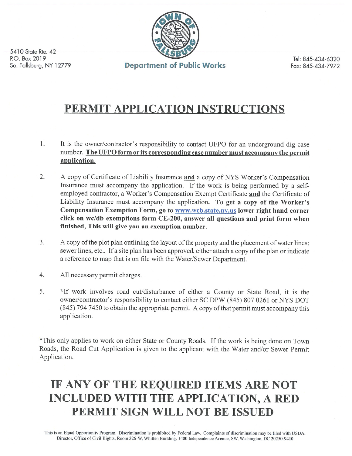

5410 State Rte. 42 P.O. Box 2019 So. Fallsburg, NY 12779

Tel: 845-434-6320 Fax: 845-434-7972

## PERMIT APPLICATION INSTRUCTIONS

- 1. It is the owner/contractor's responsibility to contact UFPO for an underground dig case number. The UFPO form or its corresponding case number must accompany the permit application.
- $2.$ A copy of Certificate of Liability Insurance and a copy of NYS Worker's Compensation Insurance must accompany the application. If the work is being performed by a selfemployed contractor, a Worker's Compensation Exempt Certificate and the Certificate of Liability Insurance must accompany the application. To get a copy of the Worker's Compensation Exemption Form, go to www.wcb.state.ny.us lower right hand corner click on wc/db exemptions form CE-200, answer all questions and print form when finished, This will give you an exemption number.
- $\overline{3}$ . A copy of the plot plan outlining the layout of the property and the placement of water lines; sewer lines, etc.. If a site plan has been approved, either attach a copy of the plan or indicate a reference to map that is on file with the Water/Sewer Department.
- $\overline{4}$ . All necessary permit charges.
- 5. \*If work involves road cut/disturbance of either a County or State Road, it is the owner/contractor's responsibility to contact either SC DPW (845) 807 0261 or NYS DOT (845) 794 7450 to obtain the appropriate permit. A copy of that permit must accompany this application.

\*This only applies to work on either State or County Roads. If the work is being done on Town Roads, the Road Cut Application is given to the applicant with the Water and/or Sewer Permit Application.

# IF ANY OF THE REQUIRED ITEMS ARE NOT **INCLUDED WITH THE APPLICATION, A RED** PERMIT SIGN WILL NOT BE ISSUED

This is an Equal Opportunity Program. Discrimination is prohibited by Federal Law. Complaints of discrimination may be filed with USDA, Director, Office of Civil Rights, Room 326-W, Whitten Building, 1400 Independence Avenue, SW, Washington, DC 20250-9410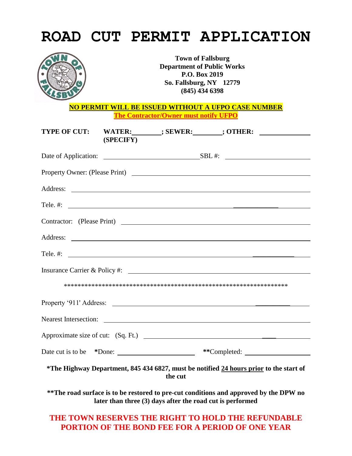|                                                                                              |                                                                                                                               |         | <b>ROAD CUT PERMIT APPLICATION</b>                                                     |  |
|----------------------------------------------------------------------------------------------|-------------------------------------------------------------------------------------------------------------------------------|---------|----------------------------------------------------------------------------------------|--|
|                                                                                              | <b>Town of Fallsburg</b><br><b>Department of Public Works</b><br>P.O. Box 2019<br>So. Fallsburg, NY 12779<br>$(845)$ 434 6398 |         |                                                                                        |  |
| NO PERMIT WILL BE ISSUED WITHOUT A UFPO CASE NUMBER<br>The Contractor/Owner must notify UFPO |                                                                                                                               |         |                                                                                        |  |
| <b>TYPE OF CUT:</b>                                                                          | (SPECIFY)                                                                                                                     |         |                                                                                        |  |
|                                                                                              |                                                                                                                               |         |                                                                                        |  |
|                                                                                              |                                                                                                                               |         |                                                                                        |  |
|                                                                                              |                                                                                                                               |         |                                                                                        |  |
|                                                                                              |                                                                                                                               |         |                                                                                        |  |
|                                                                                              |                                                                                                                               |         |                                                                                        |  |
|                                                                                              |                                                                                                                               |         |                                                                                        |  |
|                                                                                              |                                                                                                                               |         | Tele. #: $\qquad \qquad$                                                               |  |
|                                                                                              |                                                                                                                               |         | Insurance Carrier & Policy #: \essequence Carrier & Policy #:                          |  |
|                                                                                              |                                                                                                                               |         |                                                                                        |  |
|                                                                                              |                                                                                                                               |         |                                                                                        |  |
| <b>Nearest Intersection:</b>                                                                 |                                                                                                                               |         | <u> 1980 - Johann Barnett, fransk politik (d. 1980)</u>                                |  |
|                                                                                              |                                                                                                                               |         |                                                                                        |  |
| Date cut is to be                                                                            |                                                                                                                               |         |                                                                                        |  |
|                                                                                              |                                                                                                                               | the cut | *The Highway Department, 845 434 6827, must be notified 24 hours prior to the start of |  |
|                                                                                              |                                                                                                                               |         | ** The road surface is to be restored to pre-cut conditions and approved by the DPW no |  |

**later than three (3) days after the road cut is performed**

### **THE TOWN RESERVES THE RIGHT TO HOLD THE REFUNDABLE PORTION OF THE BOND FEE FOR A PERIOD OF ONE YEAR**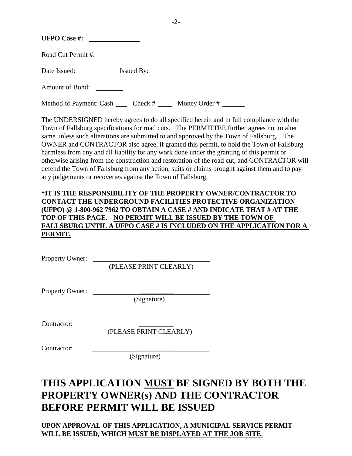| <b>UFPO Case #:</b>                          |                               |
|----------------------------------------------|-------------------------------|
| Road Cut Permit#:                            |                               |
| Date Issued:<br><u>and a strong starting</u> | $I$ ssued By: $\qquad \qquad$ |
| <b>Amount of Bond:</b>                       |                               |

Method of Payment: Cash  $\qquad \qquad$  Check #  $\qquad \qquad$  Money Order #

The UNDERSIGNED hereby agrees to do all specified herein and in full compliance with the Town of Fallsburg specifications for road cuts. The PERMITTEE further agrees not to alter same unless such alterations are submitted to and approved by the Town of Fallsburg. The OWNER and CONTRACTOR also agree, if granted this permit, to hold the Town of Fallsburg harmless from any and all liability for any work done under the granting of this permit or otherwise arising from the construction and restoration of the road cut, and CONTRACTOR will defend the Town of Fallsburg from any action, suits or claims brought against them and to pay any judgements or recoveries against the Town of Fallsburg.

### **\*IT IS THE RESPONSIBILITY OF THE PROPERTY OWNER/CONTRACTOR TO CONTACT THE UNDERGROUND FACILITIES PROTECTIVE ORGANIZATION (UFPO) @ 1-800-962 7962 TO OBTAIN A CASE # AND INDICATE THAT # AT THE TOP OF THIS PAGE. NO PERMIT WILL BE ISSUED BY THE TOWN OF FALLSBURG UNTIL A UFPO CASE # IS INCLUDED ON THE APPLICATION FOR A PERMIT.**

Property Owner: \_\_\_\_\_\_\_\_\_\_

(PLEASE PRINT CLEARLY)

Property Owner:

(Signature)

Contractor:

(PLEASE PRINT CLEARLY)

Contractor:

(Signature)

### **THIS APPLICATION MUST BE SIGNED BY BOTH THE PROPERTY OWNER(s) AND THE CONTRACTOR BEFORE PERMIT WILL BE ISSUED**

**UPON APPROVAL OF THIS APPLICATION, A MUNICIPAL SERVICE PERMIT WILL BE ISSUED, WHICH MUST BE DISPLAYED AT THE JOB SITE**.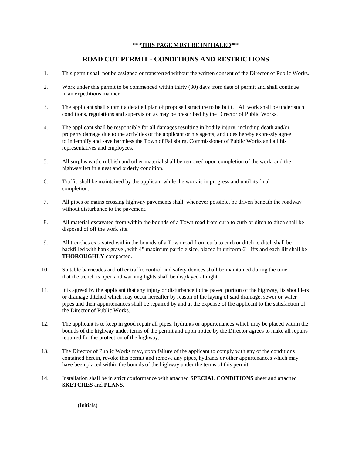#### \*\*\***THIS PAGE MUST BE INITIALED**\*\*\*

### **ROAD CUT PERMIT - CONDITIONS AND RESTRICTIONS**

- 1. This permit shall not be assigned or transferred without the written consent of the Director of Public Works.
- 2. Work under this permit to be commenced within thirty (30) days from date of permit and shall continue in an expeditious manner.
- 3. The applicant shall submit a detailed plan of proposed structure to be built. All work shall be under such conditions, regulations and supervision as may be prescribed by the Director of Public Works.
- 4. The applicant shall be responsible for all damages resulting in bodily injury, including death and/or property damage due to the activities of the applicant or his agents; and does hereby expressly agree to indemnify and save harmless the Town of Fallsburg, Commissioner of Public Works and all his representatives and employees.
- 5. All surplus earth, rubbish and other material shall be removed upon completion of the work, and the highway left in a neat and orderly condition.
- 6. Traffic shall be maintained by the applicant while the work is in progress and until its final completion.
- 7. All pipes or mains crossing highway pavements shall, whenever possible, be driven beneath the roadway without disturbance to the pavement.
- 8. All material excavated from within the bounds of a Town road from curb to curb or ditch to ditch shall be disposed of off the work site.
- 9. All trenches excavated within the bounds of a Town road from curb to curb or ditch to ditch shall be backfilled with bank gravel, with 4" maximum particle size, placed in uniform 6" lifts and each lift shall be **THOROUGHLY** compacted.
- 10. Suitable barricades and other traffic control and safety devices shall be maintained during the time that the trench is open and warning lights shall be displayed at night.
- 11. It is agreed by the applicant that any injury or disturbance to the paved portion of the highway, its shoulders or drainage ditched which may occur hereafter by reason of the laying of said drainage, sewer or water pipes and their appurtenances shall be repaired by and at the expense of the applicant to the satisfaction of the Director of Public Works.
- 12. The applicant is to keep in good repair all pipes, hydrants or appurtenances which may be placed within the bounds of the highway under terms of the permit and upon notice by the Director agrees to make all repairs required for the protection of the highway.
- 13. The Director of Public Works may, upon failure of the applicant to comply with any of the conditions contained herein, revoke this permit and remove any pipes, hydrants or other appurtenances which may have been placed within the bounds of the highway under the terms of this permit.
- 14. Installation shall be in strict conformance with attached **SPECIAL CONDITIONS** sheet and attached  **SKETCHES** and **PLANS**.

(Initials)